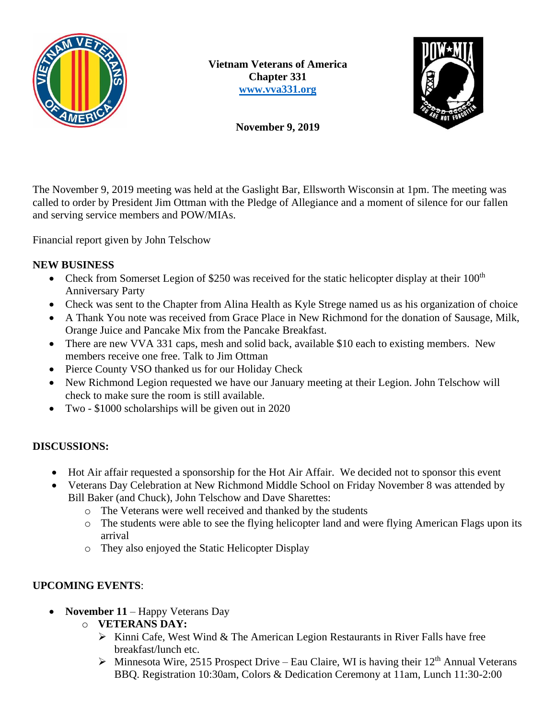

**Vietnam Veterans of America Chapter 331 [www.vva331.org](http://www.vva331.org/)**



**November 9, 2019**

The November 9, 2019 meeting was held at the Gaslight Bar, Ellsworth Wisconsin at 1pm. The meeting was called to order by President Jim Ottman with the Pledge of Allegiance and a moment of silence for our fallen and serving service members and POW/MIAs.

Financial report given by John Telschow

# **NEW BUSINESS**

- Check from Somerset Legion of \$250 was received for the static helicopter display at their  $100<sup>th</sup>$ Anniversary Party
- Check was sent to the Chapter from Alina Health as Kyle Strege named us as his organization of choice
- A Thank You note was received from Grace Place in New Richmond for the donation of Sausage, Milk, Orange Juice and Pancake Mix from the Pancake Breakfast.
- There are new VVA 331 caps, mesh and solid back, available \$10 each to existing members. New members receive one free. Talk to Jim Ottman
- Pierce County VSO thanked us for our Holiday Check
- New Richmond Legion requested we have our January meeting at their Legion. John Telschow will check to make sure the room is still available.
- Two \$1000 scholarships will be given out in 2020

# **DISCUSSIONS:**

- Hot Air affair requested a sponsorship for the Hot Air Affair. We decided not to sponsor this event
- Veterans Day Celebration at New Richmond Middle School on Friday November 8 was attended by Bill Baker (and Chuck), John Telschow and Dave Sharettes:
	- o The Veterans were well received and thanked by the students
	- o The students were able to see the flying helicopter land and were flying American Flags upon its arrival
	- o They also enjoyed the Static Helicopter Display

# **UPCOMING EVENTS**:

- **November 11** Happy Veterans Day
	- o **VETERANS DAY:**
		- $\triangleright$  Kinni Cafe, West Wind & The American Legion Restaurants in River Falls have free breakfast/lunch etc.
		- $\triangleright$  Minnesota Wire, 2515 Prospect Drive Eau Claire, WI is having their 12<sup>th</sup> Annual Veterans BBQ. Registration 10:30am, Colors & Dedication Ceremony at 11am, Lunch 11:30-2:00